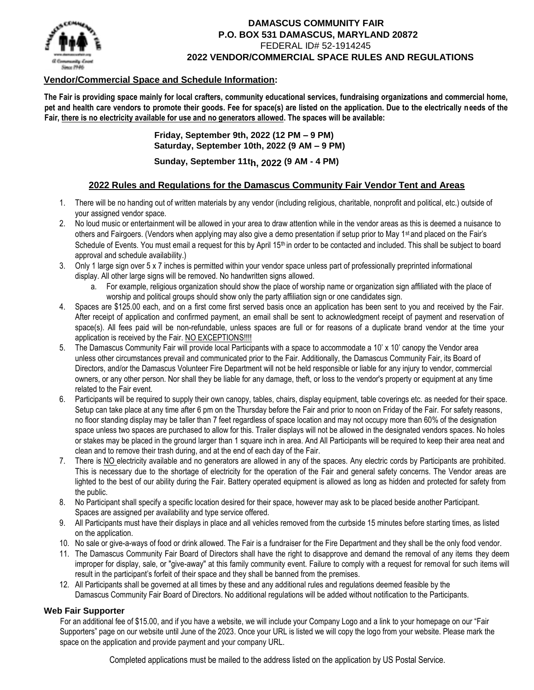

## **DAMASCUS COMMUNITY FAIR P.O. BOX 531 DAMASCUS, MARYLAND 20872**  FEDERAL ID# 52-1914245 **2022 VENDOR/COMMERCIAL SPACE RULES AND REGULATIONS**

# **Vendor/Commercial Space and Schedule Information:**

**The Fair is providing space mainly for local crafters, community educational services, fundraising organizations and commercial home, pet and health care vendors to promote their goods. Fee for space(s) are listed on the application. Due to the electrically needs of the Fair, there is no electricity available for use and no generators allowed. The spaces will be available:** 

> **Friday, September 9th, 2022 (12 PM – 9 PM) Saturday, September 10th, 2022 (9 AM – 9 PM) Sunday, September 11th, 2022 (9 AM - 4 PM)**

# **2022 Rules and Regulations for the Damascus Community Fair Vendor Tent and Areas**

- 1. There will be no handing out of written materials by any vendor (including religious, charitable, nonprofit and political, etc.) outside of your assigned vendor space.
- 2. No loud music or entertainment will be allowed in your area to draw attention while in the vendor areas as this is deemed a nuisance to others and Fairgoers. (Vendors when applying may also give a demo presentation if setup prior to May 1<sup>st</sup> and placed on the Fair's Schedule of Events. You must email a request for this by April 15<sup>th</sup> in order to be contacted and included. This shall be subject to board approval and schedule availability.)
- 3. Only 1 large sign over 5 x 7 inches is permitted within your vendor space unless part of professionally preprinted informational display. All other large signs will be removed. No handwritten signs allowed.
	- a. For example, religious organization should show the place of worship name or organization sign affiliated with the place of worship and political groups should show only the party affiliation sign or one candidates sign.
- 4. Spaces are \$125.00 each, and on a first come first served basis once an application has been sent to you and received by the Fair. After receipt of application and confirmed payment, an email shall be sent to acknowledgment receipt of payment and reservation of space(s). All fees paid will be non-refundable, unless spaces are full or for reasons of a duplicate brand vendor at the time your application is received by the Fair. NO EXCEPTIONS!!!!
- 5. The Damascus Community Fair will provide local Participants with a space to accommodate a 10' x 10' canopy the Vendor area unless other circumstances prevail and communicated prior to the Fair. Additionally, the Damascus Community Fair, its Board of Directors, and/or the Damascus Volunteer Fire Department will not be held responsible or liable for any injury to vendor, commercial owners, or any other person. Nor shall they be liable for any damage, theft, or loss to the vendor's property or equipment at any time related to the Fair event.
- 6. Participants will be required to supply their own canopy, tables, chairs, display equipment, table coverings etc. as needed for their space. Setup can take place at any time after 6 pm on the Thursday before the Fair and prior to noon on Friday of the Fair. For safety reasons, no floor standing display may be taller than 7 feet regardless of space location and may not occupy more than 60% of the designation space unless two spaces are purchased to allow for this. Trailer displays will not be allowed in the designated vendors spaces. No holes or stakes may be placed in the ground larger than 1 square inch in area. And All Participants will be required to keep their area neat and clean and to remove their trash during, and at the end of each day of the Fair.
- 7. There is NO electricity available and no generators are allowed in any of the spaces. Any electric cords by Participants are prohibited. This is necessary due to the shortage of electricity for the operation of the Fair and general safety concerns. The Vendor areas are lighted to the best of our ability during the Fair. Battery operated equipment is allowed as long as hidden and protected for safety from the public.
- 8. No Participant shall specify a specific location desired for their space, however may ask to be placed beside another Participant. Spaces are assigned per availability and type service offered.
- 9. All Participants must have their displays in place and all vehicles removed from the curbside 15 minutes before starting times, as listed on the application.
- 10. No sale or give-a-ways of food or drink allowed. The Fair is a fundraiser for the Fire Department and they shall be the only food vendor.
- 11. The Damascus Community Fair Board of Directors shall have the right to disapprove and demand the removal of any items they deem improper for display, sale, or "give-away" at this family community event. Failure to comply with a request for removal for such items will result in the participant's forfeit of their space and they shall be banned from the premises.
- 12. All Participants shall be governed at all times by these and any additional rules and regulations deemed feasible by the Damascus Community Fair Board of Directors. No additional regulations will be added without notification to the Participants.

#### **Web Fair Supporter**

For an additional fee of \$15.00, and if you have a website, we will include your Company Logo and a link to your homepage on our "Fair Supporters" page on our website until June of the 2023. Once your URL is listed we will copy the logo from your website. Please mark the space on the application and provide payment and your company URL.

Completed applications must be mailed to the address listed on the application by US Postal Service.